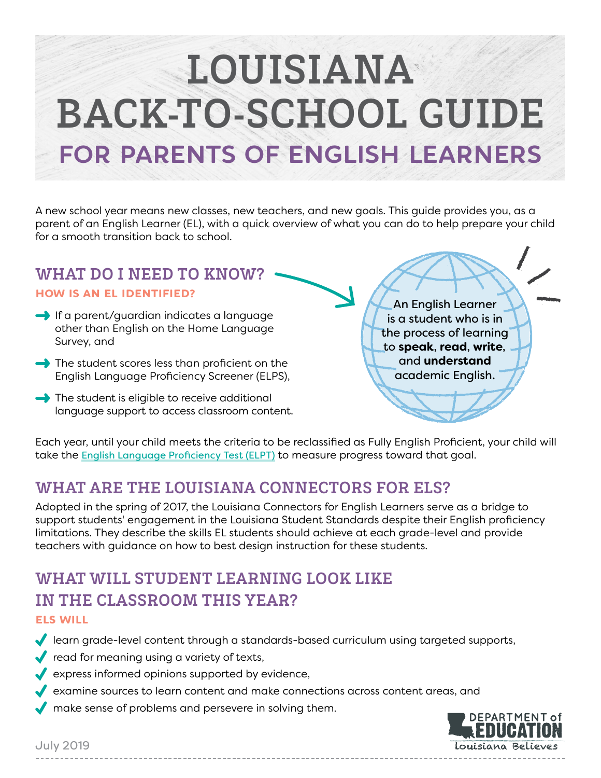# LOUISIANA BACK-TO-SCHOOL GUIDE **for Parents of English Learners**

A new school year means new classes, new teachers, and new goals. This guide provides you, as a parent of an English Learner (EL), with a quick overview of what you can do to help prepare your child for a smooth transition back to school.

#### WHAT DO I NEED TO KNOW? How is an EL identified?

- $\rightarrow$  If a parent/guardian indicates a language other than English on the Home Language Survey, and
- $\rightarrow$  The student scores less than proficient on the English Language Proficiency Screener (ELPS),
- $\rightarrow$  The student is eligible to receive additional language support to access classroom content.

An English Learner is a student who is in the process of learning to **speak**, **read**, **write**, and **understand** academic English.

Each year, until your child meets the criteria to be reclassified as Fully English Proficient, your child will take the [English Language Proficiency Test \(ELPT\)](https://www.louisianabelieves.com/docs/default-source/assessment/parent-guide-to-elpt.pdf) to measure progress toward that goal.

## WHAT ARE THE LOUISIANA CONNECTORS FOR ELS?

Adopted in the spring of 2017, the Louisiana Connectors for English Learners serve as a bridge to support students' engagement in the Louisiana Student Standards despite their English proficiency limitations. They describe the skills EL students should achieve at each grade-level and provide teachers with guidance on how to best design instruction for these students.

## WHAT WILL STUDENT LEARNING LOOK LIKE IN THE CLASSROOM THIS YEAR?

#### ELs will

learn grade-level content through a standards-based curriculum using targeted supports,

- $\blacktriangleright$  read for meaning using a variety of texts,
- $\blacktriangleright$  express informed opinions supported by evidence,
- examine sources to learn content and make connections across content areas, and
- $\blacktriangleright$  make sense of problems and persevere in solving them.